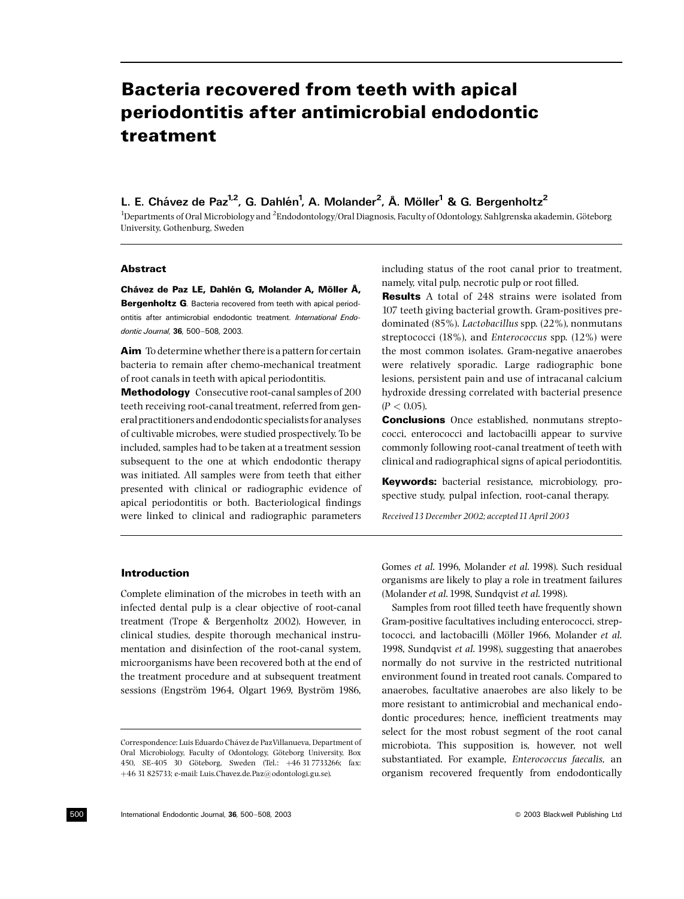# Bacteria recovered from teeth with apical periodontitis after antimicrobial endodontic treatment

L. E. Chávez de Paz<sup>1,2</sup>, G. Dahlén<sup>1</sup>, A. Molander<sup>2</sup>, Å. Möller<sup>1</sup> & G. Bergenholtz<sup>2</sup>

<sup>1</sup>Departments of Oral Microbiology and <sup>2</sup>Endodontology/Oral Diagnosis, Faculty of Odontology, Sahlgrenska akademin, Göteborg University, Gothenburg, Sweden

## **Abstract**

Chávez de Paz LE, Dahlén G, Molander A, Möller Å, Bergenholtz G. Bacteria recovered from teeth with apical periodontitis after antimicrobial endodontic treatment. International Endodontic Journal, 36, 500-508, 2003.

Aim To determine whether there is a pattern for certain bacteria to remain after chemo-mechanical treatment of root canals in teeth with apical periodontitis.

Methodology Consecutive root-canal samples of 200 teeth receiving root-canal treatment, referred from general practitioners and endodontic specialists for analyses of cultivable microbes, were studied prospectively. To be included, samples had to be taken at a treatment session subsequent to the one at which endodontic therapy was initiated. All samples were from teeth that either presented with clinical or radiographic evidence of apical periodontitis or both. Bacteriological findings were linked to clinical and radiographic parameters

including status of the root canal prior to treatment, namely, vital pulp, necrotic pulp or root filled.

**Results** A total of 248 strains were isolated from 107 teeth giving bacterial growth. Gram-positives predominated (85%). Lactobacillus spp. (22%), nonmutans streptococci (18%), and Enterococcus spp. (12%) were the most common isolates. Gram-negative anaerobes were relatively sporadic. Large radiographic bone lesions, persistent pain and use of intracanal calcium hydroxide dressing correlated with bacterial presence  $(P < 0.05)$ .

Conclusions Once established, nonmutans streptococci, enterococci and lactobacilli appear to survive commonly following root-canal treatment of teeth with clinical and radiographical signs of apical periodontitis.

Keywords: bacterial resistance, microbiology, prospective study, pulpal infection, root-canal therapy.

Received 13 December 2002; accepted 11 April 2003

# Introduction

Complete elimination of the microbes in teeth with an infected dental pulp is a clear objective of root-canal treatment (Trope & Bergenholtz 2002). However, in clinical studies, despite thorough mechanical instrumentation and disinfection of the root-canal system, microorganisms have been recovered both at the end of the treatment procedure and at subsequent treatment sessions (Engström 1964, Olgart 1969, Byström 1986,

Gomes et al. 1996, Molander et al. 1998). Such residual organisms are likely to play a role in treatment failures (Molander et al.1998, Sundqvist et al.1998).

Samples from root filled teeth have frequently shown Gram-positive facultatives including enterococci, streptococci, and lactobacilli (Möller 1966, Molander et al. 1998, Sundqvist et al. 1998), suggesting that anaerobes normally do not survive in the restricted nutritional environment found in treated root canals. Compared to anaerobes, facultative anaerobes are also likely to be more resistant to antimicrobial and mechanical endodontic procedures; hence, inefficient treatments may select for the most robust segment of the root canal microbiota. This supposition is, however, not well substantiated. For example, Enterococcus faecalis, an organism recovered frequently from endodontically

Correspondence: Luis Eduardo Chávez de Paz Villanueva, Department of Oral Microbiology, Faculty of Odontology, Göteborg University, Box 450, SE-405 30 Göteborg, Sweden (Tel.: +46 317733266; fax: þ46 31 825733; e-mail: Luis.Chavez.de.Paz@odontologi.gu.se).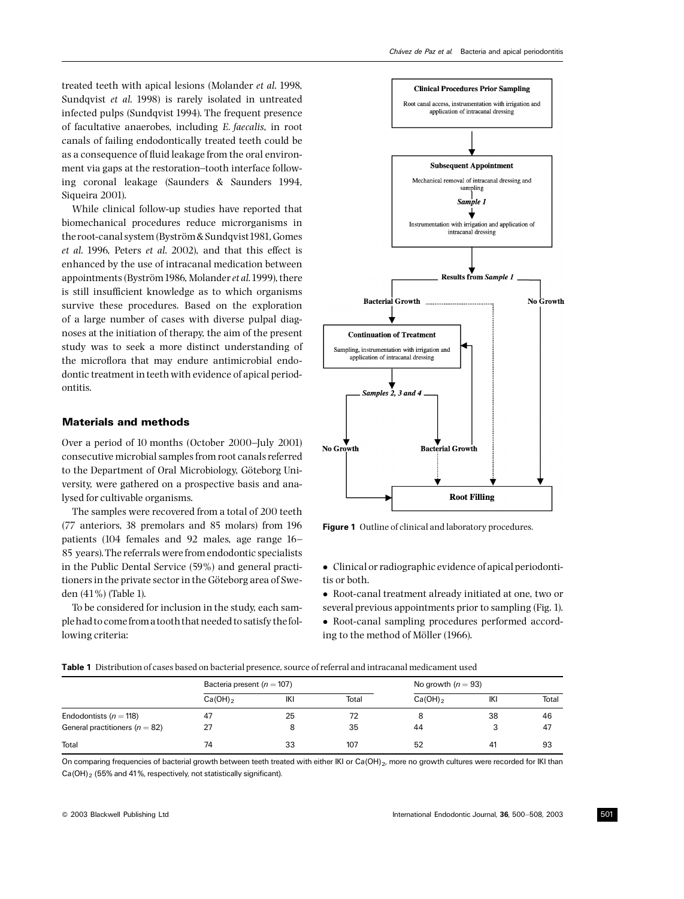treated teeth with apical lesions (Molander et al. 1998, Sundqvist et al. 1998) is rarely isolated in untreated infected pulps (Sundqvist 1994). The frequent presence of facultative anaerobes, including E. faecalis, in root canals of failing endodontically treated teeth could be as a consequence of fluid leakage from the oral environment via gaps at the restoration-tooth interface following coronal leakage (Saunders & Saunders 1994, Siqueira 2001).

While clinical follow-up studies have reported that biomechanical procedures reduce microrganisms in the root-canal system (Byström & Sundqvist 1981, Gomes et al. 1996, Peters et al. 2002), and that this effect is enhanced by the use of intracanal medication between appointments (Byström 1986, Molander et al. 1999), there is still insufficient knowledge as to which organisms survive these procedures. Based on the exploration of a large number of cases with diverse pulpal diagnoses at the initiation of therapy, the aim of the present study was to seek a more distinct understanding of the microflora that may endure antimicrobial endodontic treatment in teeth with evidence of apical periodontitis.

# Materials and methods

Over a period of 10 months (October 2000–July 2001) consecutive microbial samples from root canals referred to the Department of Oral Microbiology, Göteborg University, were gathered on a prospective basis and analysed for cultivable organisms.

The samples were recovered from a total of 200 teeth (77 anteriors, 38 premolars and 85 molars) from 196 patients (104 females and 92 males, age range 16^ 85 years).The referrals were from endodontic specialists in the Public Dental Service (59%) and general practitioners in the private sector in the Göteborg area of Sweden (41%) (Table 1).

To be considered for inclusion in the study, each sample had to come from a tooth that needed to satisfy thefollowing criteria:



Figure 1 Outline of clinical and laboratory procedures.

- Clinical or radiographic evidence of apical periodontitis or both.

- Root-canal treatment already initiated at one, two or several previous appointments prior to sampling (Fig. 1).

- Root-canal sampling procedures performed according to the method of Möller (1966).

|                                    | Bacteria present ( $n = 107$ ) |     |       | No growth $(n = 93)$ |     |       |  |
|------------------------------------|--------------------------------|-----|-------|----------------------|-----|-------|--|
|                                    | $Ca(OH)_{2}$                   | IKI | Total | $Ca(OH)_{2}$         | IKI | Total |  |
| Endodontists ( $n = 118$ )         | 47                             | 25  | 72    | 8                    | 38  | 46    |  |
| General practitioners ( $n = 82$ ) | 27                             |     | 35    | 44                   |     | 47    |  |
| Total                              | 74                             | 33  | 107   | 52                   | 41  | 93    |  |

Table 1 Distribution of cases based on bacterial presence, source of referral and intracanal medicament used

On comparing frequencies of bacterial growth between teeth treated with either IKI or Ca(OH)<sub>2</sub>, more no growth cultures were recorded for IKI than  $Ca(OH)$ <sub>2</sub> (55% and 41%, respectively, not statistically significant).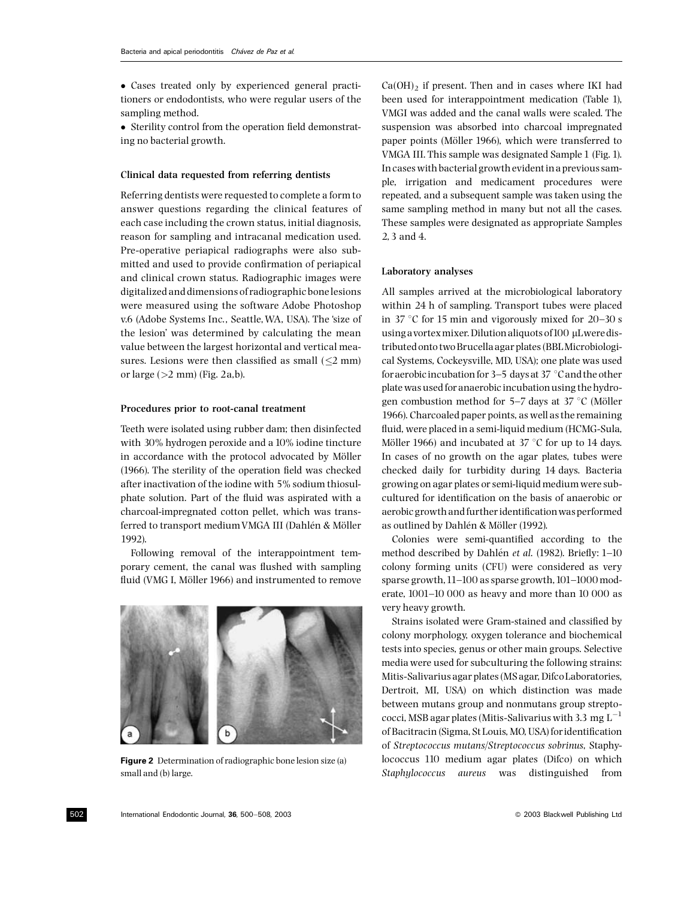- Cases treated only by experienced general practitioners or endodontists, who were regular users of the sampling method.

• Sterility control from the operation field demonstrating no bacterial growth.

## Clinical data requested from referring dentists

Referring dentists were requested to complete a form to answer questions regarding the clinical features of each case including the crown status, initial diagnosis, reason for sampling and intracanal medication used. Pre-operative periapical radiographs were also submitted and used to provide confirmation of periapical and clinical crown status. Radiographic images were digitalized and dimensions of radiographic bone lesions were measured using the software Adobe Photoshop v.6 (Adobe Systems Inc., Seattle,WA, USA). The 'size of the lesion' was determined by calculating the mean value between the largest horizontal and vertical measures. Lesions were then classified as small  $(\leq 2$  mm) or large  $(>2$  mm) (Fig. 2a,b).

#### Procedures prior to root-canal treatment

Teeth were isolated using rubber dam; then disinfected with 30% hydrogen peroxide and a 10% iodine tincture in accordance with the protocol advocated by Möller  $(1966)$ . The sterility of the operation field was checked after inactivation of the iodine with 5% sodium thiosulphate solution. Part of the fluid was aspirated with a charcoal-impregnated cotton pellet, which was transferred to transport medium VMGA III (Dahlén & Möller 1992).

Following removal of the interappointment temporary cement, the canal was flushed with sampling fluid (VMG I, Möller 1966) and instrumented to remove



Figure 2 Determination of radiographic bone lesion size (a) small and (b) large.

 $Ca(OH)_2$  if present. Then and in cases where IKI had been used for interappointment medication (Table 1), VMGI was added and the canal walls were scaled. The suspension was absorbed into charcoal impregnated paper points (Möller 1966), which were transferred to VMGA III. This sample was designated Sample 1 (Fig. 1). In cases with bacterial growth evident in a previous sample, irrigation and medicament procedures were repeated, and a subsequent sample was taken using the same sampling method in many but not all the cases. These samples were designated as appropriate Samples 2, 3 and 4.

#### Laboratory analyses

All samples arrived at the microbiological laboratory within 24 h of sampling. Transport tubes were placed in 37  $\degree$ C for 15 min and vigorously mixed for 20-30 s using a vortex mixer. Dilution aliquots of 100 µL were distributed onto two Brucella agar plates (BBLMicrobiological Systems, Cockeysville, MD, USA); one plate was used for aerobic incubation for  $3-5$  days at 37 °C and the other plate was used for anaerobic incubation using the hydrogen combustion method for  $5-7$  days at  $37 \degree C$  (Möller 1966). Charcoaled paper points, as well as the remaining fluid, were placed in a semi-liquid medium (HCMG-Sula, Möller 1966) and incubated at 37  $\degree$ C for up to 14 days. In cases of no growth on the agar plates, tubes were checked daily for turbidity during 14 days. Bacteria growing on agar plates or semi-liquid medium were subcultured for identification on the basis of anaerobic or aerobic growth and further identification was performed as outlined by Dahlén & Möller (1992).

Colonies were semi-quantified according to the method described by Dahlén et al. (1982). Briefly: 1-10 colony forming units (CFU) were considered as very sparse growth,  $11-100$  as sparse growth,  $101-1000$  moderate,  $1001-10000$  as heavy and more than  $10000$  as very heavy growth.

Strains isolated were Gram-stained and classified by colony morphology, oxygen tolerance and biochemical tests into species, genus or other main groups. Selective media were used for subculturing the following strains: Mitis-Salivarius agar plates (MS agar, Difco Laboratories, Dertroit, MI, USA) on which distinction was made between mutans group and nonmutans group streptococci, MSB agar plates (Mitis-Salivarius with 3.3 mg  $\mathrm{L}^{-1}$ of Bacitracin (Sigma, St Louis, MO, USA) for identification of Streptococcus mutans/Streptococcus sobrinus, Staphylococcus 110 medium agar plates (Difco) on which Staphylococcus aureus was distinguished from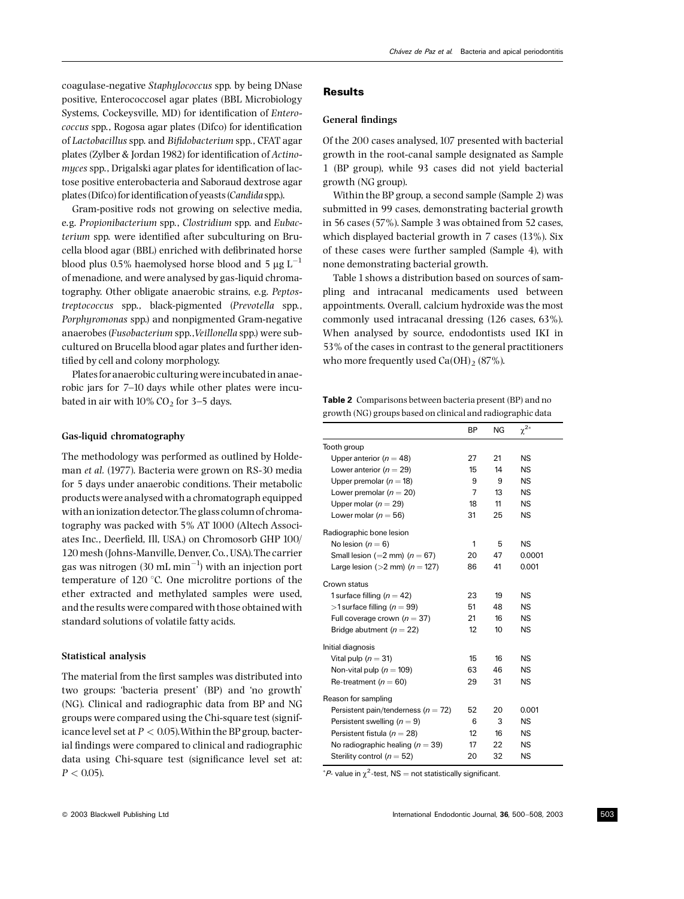Chávez de Paz et al. Bacteria and apical periodontitis

coagulase-negative Staphylococcus spp. by being DNase positive, Enterococcosel agar plates (BBL Microbiology Systems, Cockeysville, MD) for identification of Enterococcus spp., Rogosa agar plates (Difco) for identification of Lactobacillus spp. and Bi¢dobacterium spp., CFAT agar plates (Zylber & Jordan 1982) for identification of Actinomyces spp., Drigalski agar plates for identification of lactose positive enterobacteria and Saboraud dextrose agar plates (Difco) for identification of yeasts (Candida spp.).

Gram-positive rods not growing on selective media, e.g. Propionibacterium spp., Clostridium spp. and Eubacterium spp. were identified after subculturing on Brucella blood agar (BBL) enriched with defibrinated horse blood plus 0.5% haemolysed horse blood and 5  $\mu$ g L<sup>-1</sup> of menadione, and were analysed by gas-liquid chromatography. Other obligate anaerobic strains, e.g. Peptostreptococcus spp., black-pigmented (Prevotella spp., Porphyromonas spp.) and nonpigmented Gram-negative anaerobes (Fusobacterium spp.,Veillonella spp.) were subcultured on Brucella blood agar plates and further identified by cell and colony morphology.

Plates foranaerobic culturingwereincubated in anaerobic jars for 7^10 days while other plates were incubated in air with  $10\%$  CO<sub>2</sub> for 3-5 days.

## Gas-liquid chromatography

The methodology was performed as outlined by Holdeman et al. (1977). Bacteria were grown on RS-30 media for 5 days under anaerobic conditions. Their metabolic products were analysed with a chromatograph equipped with an ionization detector.The glass column of chromatography was packed with 5% AT 1000 (Altech Associates Inc., Deerfield, Ill, USA.) on Chromosorb GHP 100/ 120 mesh (Johns-Manville, Denver, Co., USA).The carrier gas was nitrogen (30 mL min $^{-1}$ ) with an injection port temperature of  $120^{\circ}$ C. One microlitre portions of the ether extracted and methylated samples were used, and the results were compared with those obtained with standard solutions of volatile fatty acids.

#### Statistical analysis

The material from the first samples was distributed into two groups: 'bacteria present' (BP) and 'no growth' (NG). Clinical and radiographic data from BP and NG groups were compared using the Chi-square test (significance level set at  $P < 0.05$ ). Within the BP group, bacterial findings were compared to clinical and radiographic data using Chi-square test (significance level set at:  $P < 0.05$ ).

# Results

## General findings

Of the 200 cases analysed,107 presented with bacterial growth in the root-canal sample designated as Sample 1 (BP group), while 93 cases did not yield bacterial growth (NG group).

Within the BP group, a second sample (Sample 2) was submitted in 99 cases, demonstrating bacterial growth in 56 cases (57%). Sample 3 was obtained from 52 cases, which displayed bacterial growth in 7 cases (13%). Six of these cases were further sampled (Sample 4), with none demonstrating bacterial growth.

Table 1 shows a distribution based on sources of sampling and intracanal medicaments used between appointments. Overall, calcium hydroxide was the most commonly used intracanal dressing (126 cases, 63%). When analysed by source, endodontists used IKI in 53% of the cases in contrast to the general practitioners who more frequently used  $Ca(OH)_2 (87\%).$ 

Table 2 Comparisons between bacteria present (BP) and no growth (NG) groups based on clinical and radiographic data

|                                         | ΒP | NG | $\chi^{2*}$ |
|-----------------------------------------|----|----|-------------|
| Tooth group                             |    |    |             |
| Upper anterior ( $n = 48$ )             | 27 | 21 | <b>NS</b>   |
| Lower anterior ( $n = 29$ )             | 15 | 14 | NS          |
| Upper premolar ( $n = 18$ )             | 9  | 9  | <b>NS</b>   |
| Lower premolar ( $n = 20$ )             | 7  | 13 | <b>NS</b>   |
| Upper molar ( $n = 29$ )                | 18 | 11 | <b>NS</b>   |
| Lower molar ( $n = 56$ )                | 31 | 25 | <b>NS</b>   |
| Radiographic bone lesion                |    |    |             |
| No lesion $(n = 6)$                     | 1  | 5  | <b>NS</b>   |
| Small lesion (=2 mm) ( $n = 67$ )       | 20 | 47 | 0.0001      |
| Large lesion ( $>2$ mm) ( $n = 127$ )   | 86 | 41 | 0.001       |
| Crown status                            |    |    |             |
| 1 surface filling $(n = 42)$            | 23 | 19 | <b>NS</b>   |
| >1 surface filling ( $n = 99$ )         | 51 | 48 | <b>NS</b>   |
| Full coverage crown $(n = 37)$          | 21 | 16 | <b>NS</b>   |
| Bridge abutment ( $n = 22$ )            | 12 | 10 | <b>NS</b>   |
| Initial diagnosis                       |    |    |             |
| Vital pulp ( $n = 31$ )                 | 15 | 16 | <b>NS</b>   |
| Non-vital pulp ( $n = 109$ )            | 63 | 46 | <b>NS</b>   |
| Re-treatment ( $n = 60$ )               | 29 | 31 | <b>NS</b>   |
| Reason for sampling                     |    |    |             |
| Persistent pain/tenderness ( $n = 72$ ) | 52 | 20 | 0.001       |
| Persistent swelling $(n = 9)$           | 6  | 3  | <b>NS</b>   |
| Persistent fistula ( $n = 28$ )         | 12 | 16 | <b>NS</b>   |
| No radiographic healing ( $n = 39$ )    | 17 | 22 | <b>NS</b>   |
| Sterility control ( $n = 52$ )          | 20 | 32 | <b>NS</b>   |

 ${}^*\mathcal{P}$ - value in  $\chi^2$ -test, NS = not statistically significant.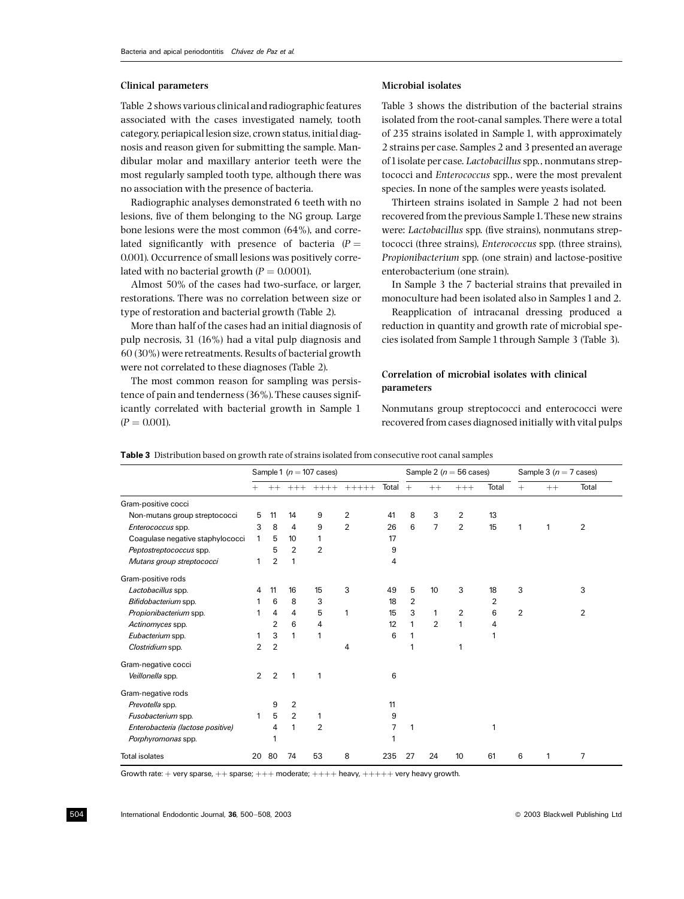## Clinical parameters

Table 2 shows various clinical and radiographic features associated with the cases investigated namely, tooth category, periapical lesion size, crown status, initial diagnosis and reason given for submitting the sample. Mandibular molar and maxillary anterior teeth were the most regularly sampled tooth type, although there was no association with the presence of bacteria.

Radiographic analyses demonstrated 6 teeth with no lesions, five of them belonging to the NG group. Large bone lesions were the most common (64%), and correlated significantly with presence of bacteria ( $P =$ 0.001). Occurrence of small lesions was positively correlated with no bacterial growth  $(P = 0.0001)$ .

Almost 50% of the cases had two-surface, or larger, restorations. There was no correlation between size or type of restoration and bacterial growth (Table 2).

More than half of the cases had an initial diagnosis of pulp necrosis, 31 (16%) had a vital pulp diagnosis and 60 (30%) were retreatments. Results of bacterial growth were not correlated to these diagnoses (Table 2).

The most common reason for sampling was persistence of pain and tenderness (36%). These causes significantly correlated with bacterial growth in Sample 1  $(P = 0.001)$ .

# Microbial isolates

Table 3 shows the distribution of the bacterial strains isolated from the root-canal samples. There were a total of 235 strains isolated in Sample 1, with approximately 2 strains per case. Samples 2 and 3 presented an average of1isolate per case. Lactobacillusspp., nonmutans streptococci and Enterococcus spp., were the most prevalent species. In none of the samples were yeasts isolated.

Thirteen strains isolated in Sample 2 had not been recovered from the previous Sample1.These new strains were: Lactobacillus spp. (five strains), nonmutans streptococci (three strains), Enterococcus spp. (three strains), Propionibacterium spp. (one strain) and lactose-positive enterobacterium (one strain).

In Sample 3 the 7 bacterial strains that prevailed in monoculture had been isolated also in Samples 1 and 2.

Reapplication of intracanal dressing produced a reduction in quantity and growth rate of microbial species isolated from Sample 1 through Sample 3 (Table 3).

# Correlation of microbial isolates with clinical parameters

Nonmutans group streptococci and enterococci were recovered from cases diagnosed initially with vital pulps

|                                   | Sample 1 ( $n = 107$ cases) |                |                | Sample 2 ( $n = 56$ cases) |                |       | Sample 3 $(n = 7$ cases) |                |                |       |     |      |                |
|-----------------------------------|-----------------------------|----------------|----------------|----------------------------|----------------|-------|--------------------------|----------------|----------------|-------|-----|------|----------------|
|                                   | $+$                         | $++$           | $+++$          | $+++++$                    | $+++++$        | Total | $+$                      | $++$           | $+++$          | Total | $+$ | $++$ | Total          |
| Gram-positive cocci               |                             |                |                |                            |                |       |                          |                |                |       |     |      |                |
| Non-mutans group streptococci     | 5                           | 11             | 14             | 9                          | $\overline{2}$ | 41    | 8                        | 3              | 2              | 13    |     |      |                |
| Enterococcus spp.                 | 3                           | 8              | 4              | 9                          | $\overline{2}$ | 26    | 6                        | $\overline{7}$ | $\overline{2}$ | 15    | 1   | 1    | 2              |
| Coagulase negative staphylococci  | 1                           | 5              | 10             | 1                          |                | 17    |                          |                |                |       |     |      |                |
| Peptostreptococcus spp.           |                             | 5              | $\overline{2}$ | $\overline{2}$             |                | 9     |                          |                |                |       |     |      |                |
| Mutans group streptococci         | 1                           | $\overline{2}$ | 1              |                            |                | 4     |                          |                |                |       |     |      |                |
| Gram-positive rods                |                             |                |                |                            |                |       |                          |                |                |       |     |      |                |
| Lactobacillus spp.                | 4                           | 11             | 16             | 15                         | 3              | 49    | 5                        | 10             | 3              | 18    | 3   |      | 3              |
| Bifidobacterium spp.              |                             | 6              | 8              | 3                          |                | 18    | $\overline{2}$           |                |                | 2     |     |      |                |
| Propionibacterium spp.            |                             | 4              | 4              | 5                          | 1              | 15    | 3                        | 1              | $\overline{2}$ | 6     | 2   |      | $\overline{2}$ |
| Actinomyces spp.                  |                             | $\overline{2}$ | 6              | 4                          |                | 12    | 1                        | $\overline{2}$ | 1              | 4     |     |      |                |
| Eubacterium spp.                  |                             | 3              | 1              | 1                          |                | 6     | 1                        |                |                |       |     |      |                |
| Clostridium spp.                  | 2                           | $\overline{2}$ |                |                            | 4              |       | 1                        |                | 1              |       |     |      |                |
| Gram-negative cocci               |                             |                |                |                            |                |       |                          |                |                |       |     |      |                |
| Veillonella spp.                  | 2                           | 2              | 1              |                            |                | 6     |                          |                |                |       |     |      |                |
| Gram-negative rods                |                             |                |                |                            |                |       |                          |                |                |       |     |      |                |
| Prevotella spp.                   |                             | 9              | $\overline{2}$ |                            |                | 11    |                          |                |                |       |     |      |                |
| Fusobacterium spp.                | 1                           | 5              | $\overline{2}$ | 1                          |                | 9     |                          |                |                |       |     |      |                |
| Enterobacteria (lactose positive) |                             | 4              | 1              | $\overline{2}$             |                | 7     | 1                        |                |                | 1     |     |      |                |
| Porphyromonas spp.                |                             | 1              |                |                            |                |       |                          |                |                |       |     |      |                |
| <b>Total isolates</b>             | 20                          | 80             | 74             | 53                         | 8              | 235   | 27                       | 24             | 10             | 61    | 6   | 1    | 7              |

Table 3 Distribution based on growth rate of strains isolated from consecutive root canal samples

Growth rate:  $+$  very sparse,  $++$  sparse;  $+++$  moderate;  $++++$  heavy,  $+++++$  very heavy growth.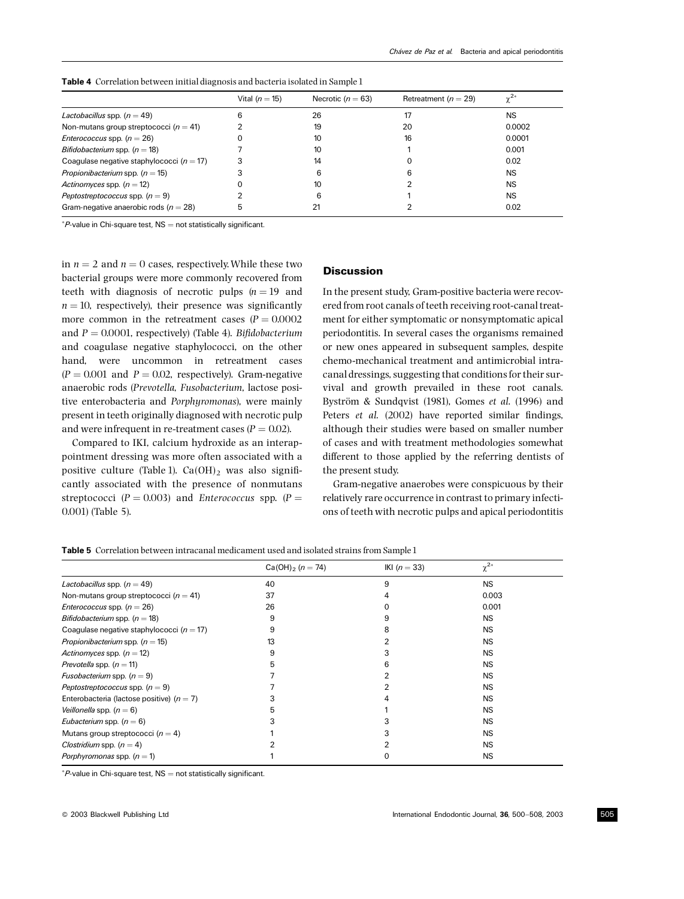|                                               | Vital $(n = 15)$ | Necrotic ( $n = 63$ ) | Retreatment ( $n = 29$ ) | $\sim$ <sup>2*</sup> |
|-----------------------------------------------|------------------|-----------------------|--------------------------|----------------------|
| <i>Lactobacillus</i> spp. $(n = 49)$          |                  | 26                    |                          | <b>NS</b>            |
| Non-mutans group streptococci ( $n = 41$ )    |                  | 19                    | 20                       | 0.0002               |
| <i>Enterococcus</i> spp. $(n = 26)$           |                  | 10                    | 16                       | 0.0001               |
| Bifidobacterium spp. $(n = 18)$               |                  | 10                    |                          | 0.001                |
| Coagulase negative staphylococci ( $n = 17$ ) |                  | 14                    |                          | 0.02                 |
| <i>Propionibacterium</i> spp. $(n = 15)$      |                  | 6                     | ี                        | <b>NS</b>            |
| Actinomyces spp. $(n = 12)$                   |                  | 10                    |                          | <b>NS</b>            |
| Peptostreptococcus spp. $(n = 9)$             |                  | 6                     |                          | <b>NS</b>            |
| Gram-negative anaerobic rods ( $n = 28$ )     | 5                |                       |                          | 0.02                 |

Table 4 Correlation between initial diagnosis and bacteria isolated in Sample 1

 $P$ -value in Chi-square test,  $NS =$  not statistically significant.

in  $n = 2$  and  $n = 0$  cases, respectively. While these two bacterial groups were more commonly recovered from teeth with diagnosis of necrotic pulps  $(n = 19)$  and  $n = 10$ , respectively), their presence was significantly more common in the retreatment cases  $(P = 0.0002)$ and  $P = 0.0001$ , respectively) (Table 4). Bifidobacterium and coagulase negative staphylococci, on the other hand, were uncommon in retreatment cases  $(P = 0.001$  and  $P = 0.02$ , respectively). Gram-negative anaerobic rods (Prevotella, Fusobacterium, lactose positive enterobacteria and Porphyromonas), were mainly present in teeth originally diagnosed with necrotic pulp and were infrequent in re-treatment cases ( $P = 0.02$ ).

Compared to IKI, calcium hydroxide as an interappointment dressing was more often associated with a positive culture (Table 1).  $Ca(OH)_2$  was also significantly associated with the presence of nonmutans streptococci ( $P = 0.003$ ) and Enterococcus spp. ( $P =$ 0.001) (Table 5).

## **Discussion**

In the present study, Gram-positive bacteria were recovered from root canals of teeth receiving root-canal treatment for either symptomatic or nonsymptomatic apical periodontitis. In several cases the organisms remained or new ones appeared in subsequent samples, despite chemo-mechanical treatment and antimicrobial intracanal dressings, suggesting that conditions for their survival and growth prevailed in these root canals. Byström & Sundqvist (1981), Gomes et al. (1996) and Peters *et al.* (2002) have reported similar findings, although their studies were based on smaller number of cases and with treatment methodologies somewhat different to those applied by the referring dentists of the present study.

Gram-negative anaerobes were conspicuous by their relatively rare occurrence in contrast to primary infections of teeth with necrotic pulps and apical periodontitis

Table 5 Correlation between intracanal medicament used and isolated strains from Sample1

|                                               | $Ca(OH)2 (n = 74)$ | IKI $(n = 33)$ | $\chi^{2*}$ |  |
|-----------------------------------------------|--------------------|----------------|-------------|--|
| Lactobacillus spp. $(n = 49)$                 | 40                 | 9              | <b>NS</b>   |  |
| Non-mutans group streptococci ( $n = 41$ )    | 37                 |                | 0.003       |  |
| <i>Enterococcus</i> spp. $(n = 26)$           | 26                 |                | 0.001       |  |
| <i>Bifidobacterium</i> spp. $(n = 18)$        | 9                  | 9              | <b>NS</b>   |  |
| Coagulase negative staphylococci ( $n = 17$ ) | 9                  | 8              | <b>NS</b>   |  |
| Propionibacterium spp. $(n = 15)$             | 13                 |                | <b>NS</b>   |  |
| Actinomyces spp. $(n = 12)$                   | 9                  |                | <b>NS</b>   |  |
| <i>Prevotella</i> spp. $(n = 11)$             | 5                  | 6              | <b>NS</b>   |  |
| <i>Fusobacterium</i> spp. $(n = 9)$           |                    |                | <b>NS</b>   |  |
| Peptostreptococcus spp. $(n = 9)$             |                    |                | <b>NS</b>   |  |
| Enterobacteria (lactose positive) ( $n = 7$ ) |                    |                | <b>NS</b>   |  |
| Veillonella spp. $(n = 6)$                    | 5                  |                | <b>NS</b>   |  |
| <i>Eubacterium</i> spp. $(n = 6)$             |                    |                | <b>NS</b>   |  |
| Mutans group streptococci ( $n = 4$ )         |                    |                | <b>NS</b>   |  |
| Clostridium spp. $(n = 4)$                    |                    |                | <b>NS</b>   |  |
| Porphyromonas spp. $(n = 1)$                  |                    |                | <b>NS</b>   |  |

 $P$ -value in Chi-square test,  $NS =$  not statistically significant.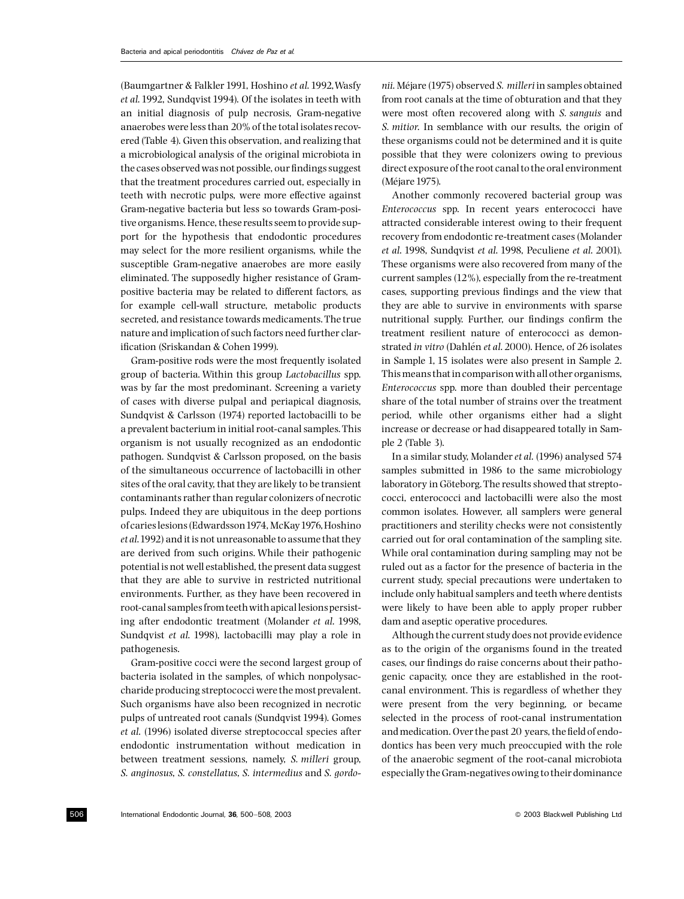(Baumgartner & Falkler 1991, Hoshino et al.1992,Wasfy et al. 1992, Sundqvist 1994). Of the isolates in teeth with an initial diagnosis of pulp necrosis, Gram-negative anaerobes were less than 20% of the total isolates recovered (Table 4). Given this observation, and realizing that a microbiological analysis of the original microbiota in the cases observed was not possible, our findings suggest that the treatment procedures carried out, especially in teeth with necrotic pulps, were more effective against Gram-negative bacteria but less so towards Gram-positive organisms. Hence, these results seem to provide support for the hypothesis that endodontic procedures may select for the more resilient organisms, while the susceptible Gram-negative anaerobes are more easily eliminated. The supposedly higher resistance of Grampositive bacteria may be related to different factors, as for example cell-wall structure, metabolic products secreted, and resistance towards medicaments. The true nature and implication of such factors need further clarification (Sriskandan & Cohen 1999).

Gram-positive rods were the most frequently isolated group of bacteria. Within this group Lactobacillus spp. was by far the most predominant. Screening a variety of cases with diverse pulpal and periapical diagnosis, Sundqvist & Carlsson (1974) reported lactobacilli to be a prevalent bacterium in initial root-canal samples. This organism is not usually recognized as an endodontic pathogen. Sundqvist & Carlsson proposed, on the basis of the simultaneous occurrence of lactobacilli in other sites of the oral cavity, that they are likely to be transient contaminants rather than regular colonizers of necrotic pulps. Indeed they are ubiquitous in the deep portions of caries lesions (Edwardsson1974, McKay1976,Hoshino et al.1992) and it is not unreasonable to assume that they are derived from such origins. While their pathogenic potential is not well established, the present data suggest that they are able to survive in restricted nutritional environments. Further, as they have been recovered in root-canal samples from teethwith apical lesions persisting after endodontic treatment (Molander et al. 1998, Sundqvist et al. 1998), lactobacilli may play a role in pathogenesis.

Gram-positive cocci were the second largest group of bacteria isolated in the samples, of which nonpolysaccharide producing streptococci were the most prevalent. Such organisms have also been recognized in necrotic pulps of untreated root canals (Sundqvist 1994). Gomes et al. (1996) isolated diverse streptococcal species after endodontic instrumentation without medication in between treatment sessions, namely, S. milleri group, S. anginosus, S. constellatus, S. intermedius and S. gordonii. Méjare (1975) observed S. milleri in samples obtained from root canals at the time of obturation and that they were most often recovered along with S. sanguis and S. mitior. In semblance with our results, the origin of these organisms could not be determined and it is quite possible that they were colonizers owing to previous direct exposure of the root canal to the oral environment (Méjare 1975).

Another commonly recovered bacterial group was Enterococcus spp. In recent years enterococci have attracted considerable interest owing to their frequent recovery from endodontic re-treatment cases (Molander et al. 1998, Sundqvist et al. 1998, Peculiene et al. 2001). These organisms were also recovered from many of the current samples (12%), especially from the re-treatment cases, supporting previous findings and the view that they are able to survive in environments with sparse nutritional supply. Further, our findings confirm the treatment resilient nature of enterococci as demonstrated in vitro (Dahlén et al. 2000). Hence, of 26 isolates in Sample 1, 15 isolates were also present in Sample 2. This means that in comparisonwith all other organisms, Enterococcus spp. more than doubled their percentage share of the total number of strains over the treatment period, while other organisms either had a slight increase or decrease or had disappeared totally in Sample 2 (Table 3).

In a similar study, Molander et al. (1996) analysed 574 samples submitted in 1986 to the same microbiology laboratory in Göteborg. The results showed that streptococci, enterococci and lactobacilli were also the most common isolates. However, all samplers were general practitioners and sterility checks were not consistently carried out for oral contamination of the sampling site. While oral contamination during sampling may not be ruled out as a factor for the presence of bacteria in the current study, special precautions were undertaken to include only habitual samplers and teeth where dentists were likely to have been able to apply proper rubber dam and aseptic operative procedures.

Although the current study does not provide evidence as to the origin of the organisms found in the treated cases, our findings do raise concerns about their pathogenic capacity, once they are established in the rootcanal environment. This is regardless of whether they were present from the very beginning, or became selected in the process of root-canal instrumentation and medication. Over the past 20 years, the field of endodontics has been very much preoccupied with the role of the anaerobic segment of the root-canal microbiota especially the Gram-negatives owing to their dominance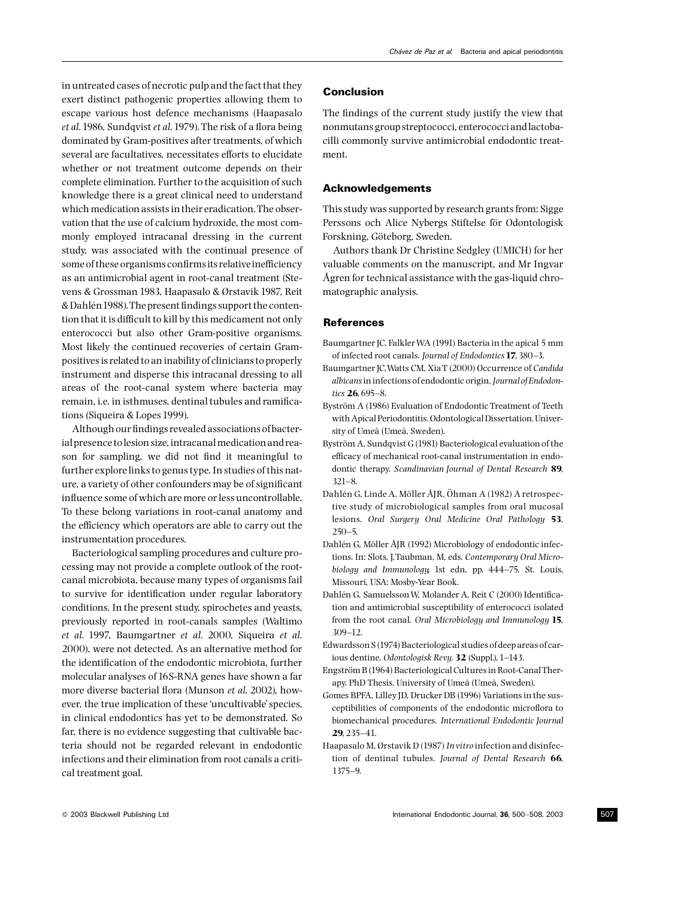in untreated cases of necrotic pulp and the fact that they exert distinct pathogenic properties allowing them to escape various host defence mechanisms (Haapasalo  $et$  al. 1986, Sundqvist  $et$  al. 1979). The risk of a flora being dominated by Gram-positives after treatments, of which several are facultatives, necessitates efforts to elucidate whether or not treatment outcome depends on their complete elimination. Further to the acquisition of such knowledge there is a great clinical need to understand which medication assists in their eradication.The observation that the use of calcium hydroxide, the most commonly employed intracanal dressing in the current study, was associated with the continual presence of some of these organisms confirms its relative inefficiency as an antimicrobial agent in root-canal treatment (Stevens & Grossman 1983, Haapasalo & Ørstavik 1987, Reit & Dahlén 1988). The present findings support the contention that it is difficult to kill by this medicament not only enterococci but also other Gram-positive organisms. Most likely the continued recoveries of certain Grampositives is related to an inability of clinicians to properly instrument and disperse this intracanal dressing to all areas of the root-canal system where bacteria may remain, i.e. in isthmuses, dentinal tubules and ramifications (Siqueira & Lopes 1999).

Although our findings revealed associations of bacterial presence tolesion size, intracanal medicationand reason for sampling, we did not find it meaningful to further explore links to genus type. In studies of this nature, a variety of other confounders may be of significant influence some of which are more or less uncontrollable. To these belong variations in root-canal anatomy and the efficiency which operators are able to carry out the instrumentation procedures.

Bacteriological sampling procedures and culture processing may not provide a complete outlook of the rootcanal microbiota, because many types of organisms fail to survive for identification under regular laboratory conditions. In the present study, spirochetes and yeasts, previously reported in root-canals samples (Waltimo et al. 1997, Baumgartner et al. 2000, Siqueira et al. 2000), were not detected. As an alternative method for the identification of the endodontic microbiota, further molecular analyses of 16S-RNA genes have shown a far more diverse bacterial flora (Munson et al. 2002), however, the true implication of these 'uncultivable'species, in clinical endodontics has yet to be demonstrated. So far, there is no evidence suggesting that cultivable bacteria should not be regarded relevant in endodontic infections and their elimination from root canals a critical treatment goal.

# Conclusion

The findings of the current study justify the view that nonmutans group streptococci, enterococci andlactobacilli commonly survive antimicrobial endodontic treatment.

## Acknowledgements

This study was supported by research grants from: Sigge Perssons och Alice Nybergs Stiftelse för Odontologisk Forskning, Göteborg, Sweden.

Authors thank Dr Christine Sedgley (UMICH) for her valuable comments on the manuscript, and Mr Ingvar Å gren for technical assistance with the gas-liquid chromatographic analysis.

#### **References**

- Baumgartner JC, FalklerWA (1991) Bacteria in the apical 5 mm of infected root canals. Journal of Endodontics 17, 380-3.
- Baumgartner JC,Watts CM, Xia T (2000) Occurrence of Candida albicans in infections of endodontic origin. Journal of Endodontics  $26.695 - 8.$
- Byström A (1986) Evaluation of Endodontic Treatment of Teeth with Apical Periodontitis. Odontological Dissertation.University of Umeå (Umeå, Sweden).
- Byström A, Sundqvist G (1981) Bacteriological evaluation of the efficacy of mechanical root-canal instrumentation in endodontic therapy. Scandinavian Journal of Dental Research 89,  $321 - 8.$
- Dahlén G, Linde A, Möller ÅJR, Öhman A (1982) A retrospective study of microbiological samples from oral mucosal lesions. Oral Surgery Oral Medicine Oral Pathology 53,  $250 - 5$
- Dahlén G, Möller ÅJR (1992) Microbiology of endodontic infections. In: Slots, J,Taubman, M, eds. Contemporary Oral Microbiology and Immunology, 1st edn, pp. 444-75. St. Louis, Missouri, USA: Mosby-Year Book.
- Dahlén G, Samuelsson W, Molander A, Reit C (2000) Identification and antimicrobial susceptibility of enterococci isolated from the root canal. Oral Microbiology and Immunology 15, 309-12.
- Edwardsson S (1974) Bacteriological studies of deep areas of carious dentine. Odontologisk Revy. 32 (Suppl.), 1-143.
- Engström B (1964) Bacteriological Cultures in Root-Canal Therapy. PhD Thesis. University of Umeå (Umeå, Sweden).
- Gomes BPFA, Lilley JD, Drucker DB (1996) Variations in the susceptibilities of components of the endodontic microflora to biomechanical procedures. International Endodontic Journal 29, 235^41.
- Haapasalo M, Ørstavik D (1987) In vitro infection and disinfection of dentinal tubules. Journal of Dental Research 66, 1375^9.